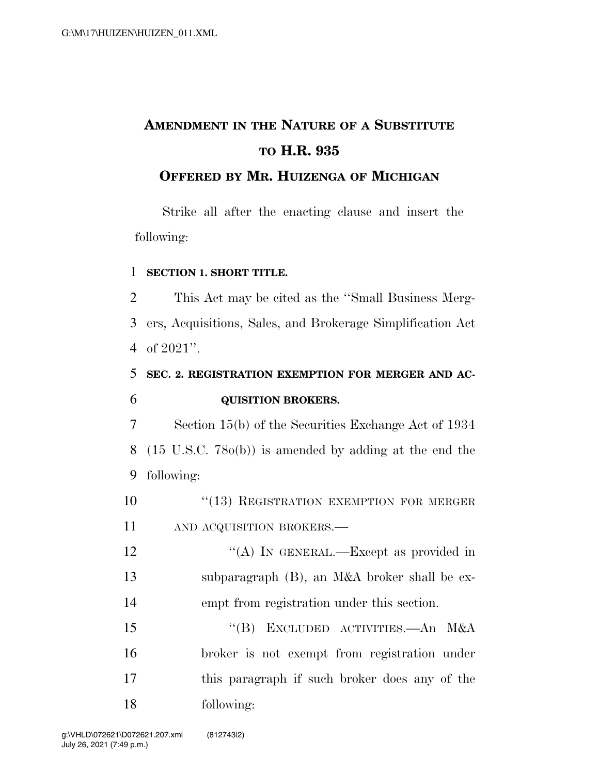# **AMENDMENT IN THE NATURE OF A SUBSTITUTE TO H.R. 935**

### **OFFERED BY MR. HUIZENGA OF MICHIGAN**

Strike all after the enacting clause and insert the following:

#### 1 **SECTION 1. SHORT TITLE.**

2 This Act may be cited as the ''Small Business Merg-3 ers, Acquisitions, Sales, and Brokerage Simplification Act 4 of 2021''.

### 5 **SEC. 2. REGISTRATION EXEMPTION FOR MERGER AND AC-**6 **QUISITION BROKERS.**

7 Section 15(b) of the Securities Exchange Act of 1934 8 (15 U.S.C. 78o(b)) is amended by adding at the end the 9 following:

10 "(13) REGISTRATION EXEMPTION FOR MERGER 11 AND ACQUISITION BROKERS.—

12 "(A) IN GENERAL.—Except as provided in 13 subparagraph (B), an M&A broker shall be ex-14 empt from registration under this section.

15 "(B) EXCLUDED ACTIVITIES.—An M&A broker is not exempt from registration under this paragraph if such broker does any of the following: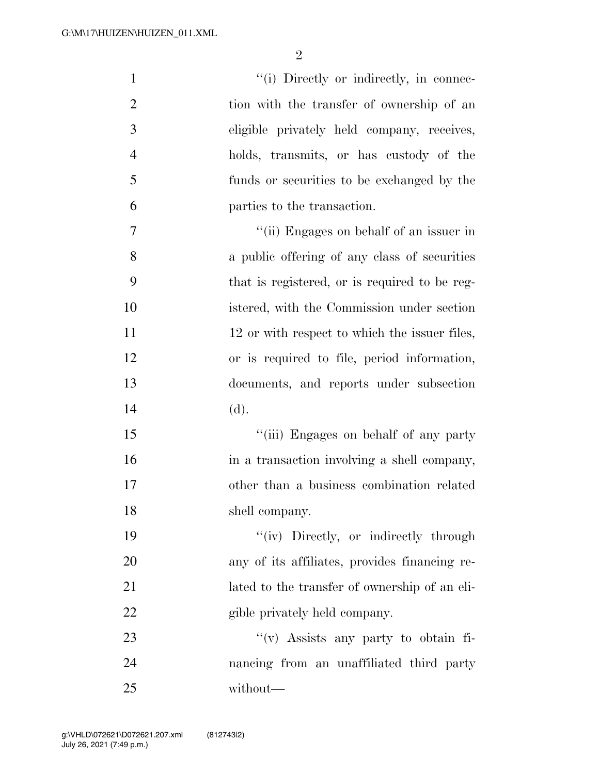| $\mathbf{1}$   | "(i) Directly or indirectly, in connec-       |
|----------------|-----------------------------------------------|
| $\overline{2}$ | tion with the transfer of ownership of an     |
| 3              | eligible privately held company, receives,    |
| $\overline{4}$ | holds, transmits, or has custody of the       |
| 5              | funds or securities to be exchanged by the    |
| 6              | parties to the transaction.                   |
| $\tau$         | "(ii) Engages on behalf of an issuer in       |
| 8              | a public offering of any class of securities  |
| 9              | that is registered, or is required to be reg- |
| 10             | istered, with the Commission under section    |
| 11             | 12 or with respect to which the issuer files, |
| 12             | or is required to file, period information,   |
| 13             | documents, and reports under subsection       |
| 14             | (d).                                          |
| 15             | "(iii) Engages on behalf of any party         |
| 16             | in a transaction involving a shell company,   |
| 17             | other than a business combination related     |
| 18             | shell company.                                |
| 19             | "(iv) Directly, or indirectly through         |
| 20             | any of its affiliates, provides financing re- |
| 21             | lated to the transfer of ownership of an eli- |
| 22             | gible privately held company.                 |
| 23             | "(v) Assists any party to obtain fi-          |
| 24             | nancing from an unaffiliated third party      |
| 25             | without—                                      |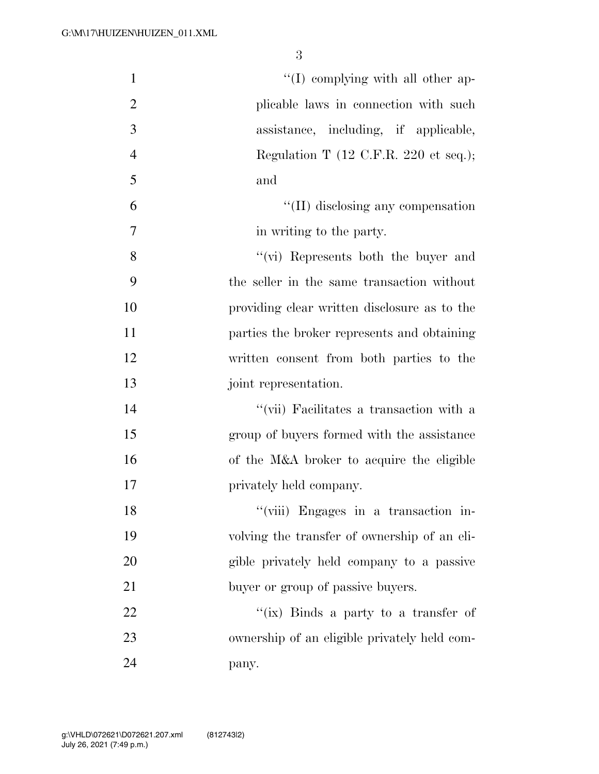| $\mathbf{1}$   | $\lq\lq$ complying with all other ap-                    |
|----------------|----------------------------------------------------------|
| $\overline{2}$ | plicable laws in connection with such                    |
| 3              | assistance, including, if applicable,                    |
| $\overline{4}$ | Regulation T $(12 \text{ C.F.R. } 220 \text{ et seq.});$ |
| 5              | and                                                      |
| 6              | $\lq\lq$ (II) disclosing any compensation                |
| 7              | in writing to the party.                                 |
| 8              | "(vi) Represents both the buyer and                      |
| 9              | the seller in the same transaction without               |
| 10             | providing clear written disclosure as to the             |
| 11             | parties the broker represents and obtaining              |
| 12             | written consent from both parties to the                 |
| 13             | joint representation.                                    |
| 14             | "(vii) Facilitates a transaction with a                  |
| 15             | group of buyers formed with the assistance               |
| 16             | of the M&A broker to acquire the eligible                |
| 17             | privately held company.                                  |
| 18             | "(viii) Engages in a transaction in-                     |
| 19             | volving the transfer of ownership of an eli-             |
| 20             | gible privately held company to a passive                |
| 21             | buyer or group of passive buyers.                        |
| 22             | "(ix) Binds a party to a transfer of                     |
| 23             | ownership of an eligible privately held com-             |
| 24             | pany.                                                    |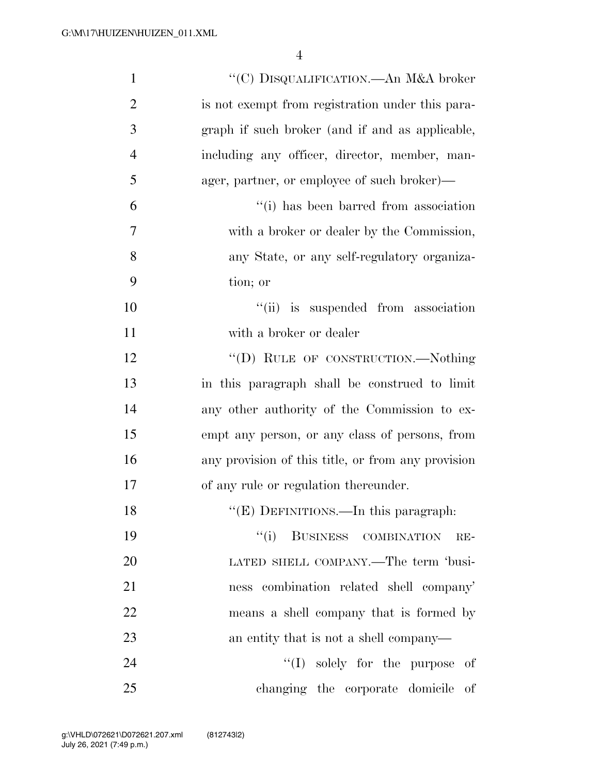| $\mathbf{1}$     | "(C) DISQUALIFICATION.—An M&A broker               |
|------------------|----------------------------------------------------|
| $\overline{2}$   | is not exempt from registration under this para-   |
| $\mathfrak{Z}$   | graph if such broker (and if and as applicable,    |
| $\overline{4}$   | including any officer, director, member, man-      |
| 5                | ager, partner, or employee of such broker)-        |
| 6                | "(i) has been barred from association              |
| $\boldsymbol{7}$ | with a broker or dealer by the Commission,         |
| 8                | any State, or any self-regulatory organiza-        |
| 9                | tion; or                                           |
| 10               | "(ii) is suspended from association                |
| 11               | with a broker or dealer                            |
| 12               | "(D) RULE OF CONSTRUCTION.-Nothing                 |
| 13               | in this paragraph shall be construed to limit      |
| 14               | any other authority of the Commission to ex-       |
| 15               | empt any person, or any class of persons, from     |
| 16               | any provision of this title, or from any provision |
| 17               | of any rule or regulation thereunder.              |
| 18               | "(E) DEFINITIONS.—In this paragraph:               |
| 19               | BUSINESS COMBINATION<br>``(i)<br>$RE-$             |
| 20               | LATED SHELL COMPANY.—The term 'busi-               |
| 21               | ness combination related shell company'            |
| 22               | means a shell company that is formed by            |
| 23               | an entity that is not a shell company—             |
| 24               | $\lq\lq$ solely for the purpose<br>of              |
| 25               | changing the corporate domicile of                 |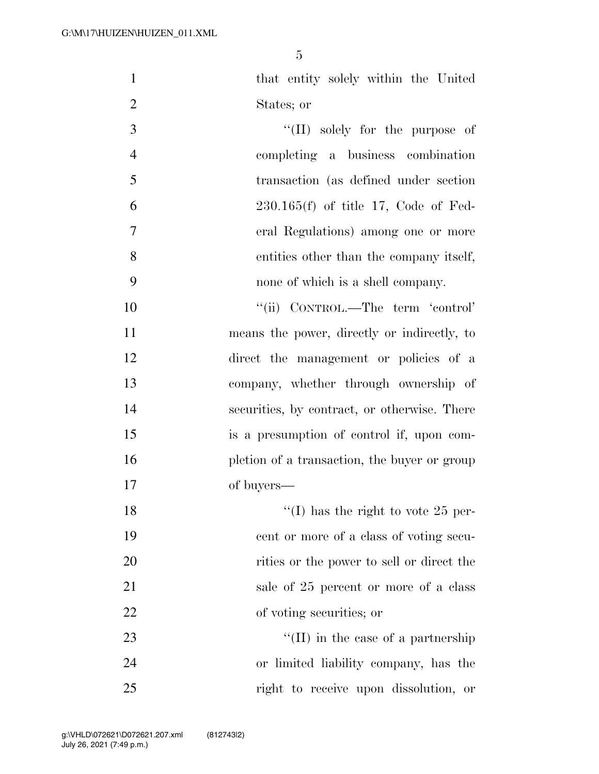that entity solely within the United States; or 3  $\frac{1}{2}$   $\frac{1}{2}$  solely for the purpose of

 completing a business combination transaction (as defined under section 230.165(f) of title 17, Code of Fed- eral Regulations) among one or more entities other than the company itself, none of which is a shell company.

 $"$ (ii) CONTROL.—The term 'control' means the power, directly or indirectly, to direct the management or policies of a company, whether through ownership of securities, by contract, or otherwise. There is a presumption of control if, upon com-16 pletion of a transaction, the buyer or group of buyers—

18 ''(I) has the right to vote 25 per- cent or more of a class of voting secu-20 rities or the power to sell or direct the 21 sale of 25 percent or more of a class of voting securities; or

23  $\frac{1}{2}$  T in the case of a partnership or limited liability company, has the right to receive upon dissolution, or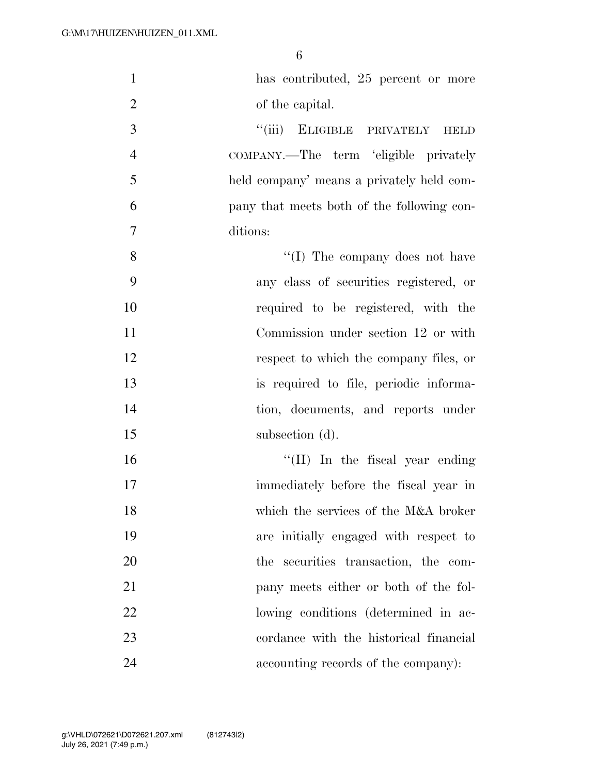| $\mathbf{1}$   | has contributed, 25 percent or more          |
|----------------|----------------------------------------------|
| $\overline{2}$ | of the capital.                              |
| 3              | ``(iii)<br>ELIGIBLE PRIVATELY<br><b>HELD</b> |
| $\overline{4}$ | COMPANY.—The term 'eligible privately        |
| 5              | held company' means a privately held com-    |
| 6              | pany that meets both of the following con-   |
| $\tau$         | ditions:                                     |
| 8              | "(I) The company does not have               |
| 9              | any class of securities registered, or       |
| 10             | required to be registered, with the          |
| 11             | Commission under section 12 or with          |
| 12             | respect to which the company files, or       |
| 13             | is required to file, periodic informa-       |
| 14             | tion, documents, and reports under           |
| 15             | subsection (d).                              |
| 16             | "(II) In the fiscal year ending              |
| 17             | immediately before the fiscal year in        |
| 18             | which the services of the M&A broker         |
| 19             | are initially engaged with respect to        |
| 20             | the securities transaction, the com-         |
| 21             | pany meets either or both of the fol-        |
| 22             | lowing conditions (determined in ac-         |
| 23             | cordance with the historical financial       |
| 24             | accounting records of the company):          |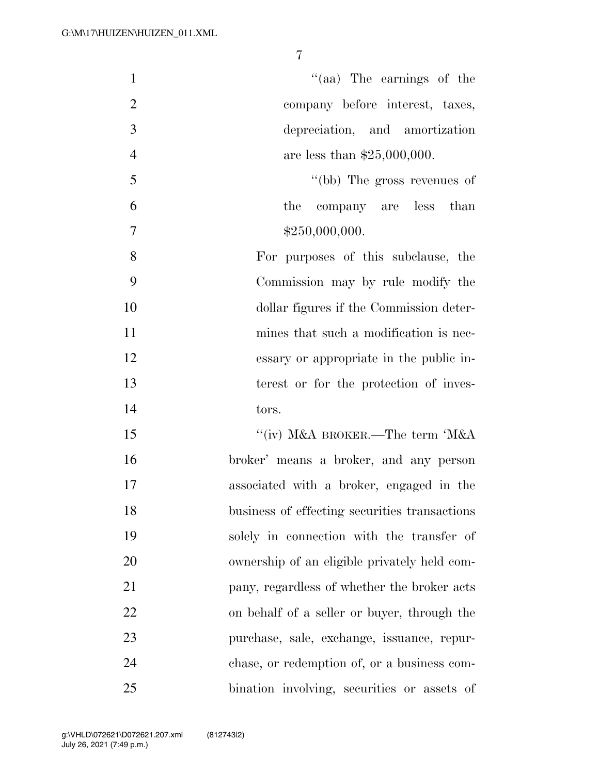| $\mathbf{1}$   | $\lq(aa)$ The earnings of the                 |
|----------------|-----------------------------------------------|
| $\overline{2}$ | company before interest, taxes,               |
| 3              | depreciation, and amortization                |
|                |                                               |
| $\overline{4}$ | are less than $$25,000,000$ .                 |
| 5              | "(bb) The gross revenues of                   |
| 6              | the company are less than                     |
| 7              | \$250,000,000.                                |
| 8              | For purposes of this subclause, the           |
| 9              | Commission may by rule modify the             |
| 10             | dollar figures if the Commission deter-       |
| 11             | mines that such a modification is nec-        |
| 12             | essary or appropriate in the public in-       |
| 13             | terest or for the protection of inves-        |
| 14             | tors.                                         |
| 15             | "(iv) M&A BROKER.—The term 'M&A               |
| 16             | broker' means a broker, and any person        |
| 17             | associated with a broker, engaged in the      |
| 18             | business of effecting securities transactions |
| 19             | solely in connection with the transfer of     |
| 20             | ownership of an eligible privately held com-  |
| 21             | pany, regardless of whether the broker acts   |
| 22             | on behalf of a seller or buyer, through the   |
| 23             | purchase, sale, exchange, issuance, repur-    |
| 24             | chase, or redemption of, or a business com-   |
| 25             | bination involving, securities or assets of   |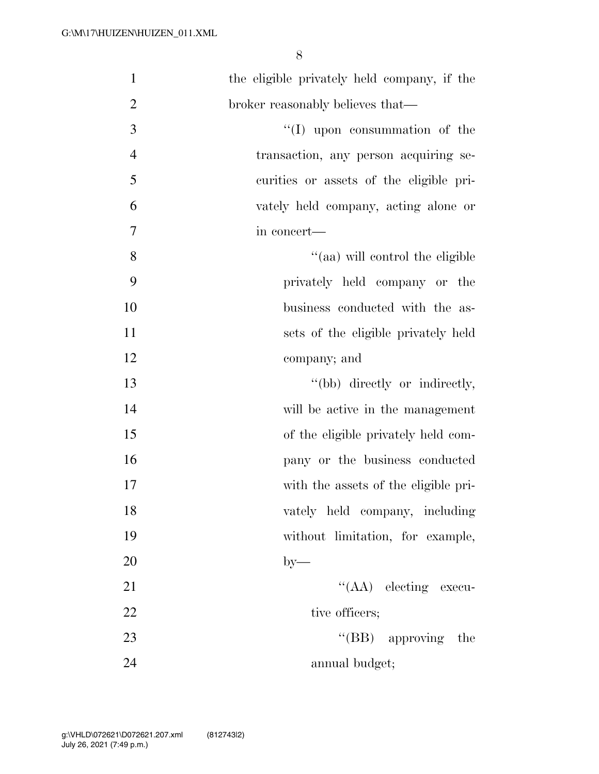| $\mathbf{1}$   | the eligible privately held company, if the |
|----------------|---------------------------------------------|
| $\overline{2}$ | broker reasonably believes that—            |
| 3              | $\lq\lq$ (I) upon consummation of the       |
| $\overline{4}$ | transaction, any person acquiring se-       |
| 5              | curities or assets of the eligible pri-     |
| 6              | vately held company, acting alone or        |
| $\tau$         | in concert-                                 |
| 8              | "(aa) will control the eligible             |
| 9              | privately held company or the               |
| 10             | business conducted with the as-             |
| 11             | sets of the eligible privately held         |
| 12             | company; and                                |
| 13             | "(bb) directly or indirectly,               |
| 14             | will be active in the management            |
| 15             | of the eligible privately held com-         |
| 16             | pany or the business conducted              |
| 17             | with the assets of the eligible pri-        |
| 18             | vately held company, including              |
| 19             | without limitation, for example,            |
| 20             | $by-$                                       |
| 21             | "(AA) electing execu-                       |
| 22             | tive officers;                              |
| 23             | $\lq\lq(BB)$ approving<br>the               |
| 24             | annual budget;                              |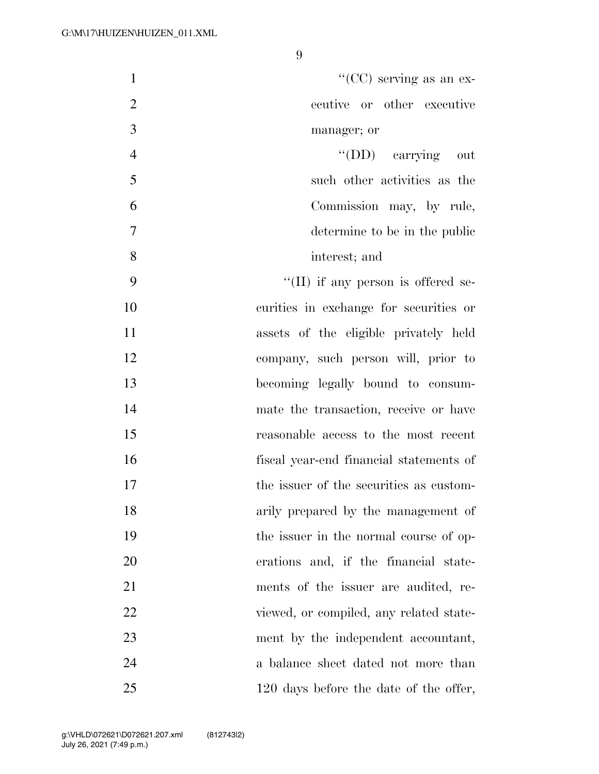| "(CC) serving as an ex-<br>$\mathbf{1}$         |  |
|-------------------------------------------------|--|
| $\mathfrak{2}$<br>ecutive or other executive    |  |
| 3<br>manager; or                                |  |
| $\overline{4}$<br>"(DD) carrying out            |  |
| 5<br>such other activities as the               |  |
| 6<br>Commission may, by rule,                   |  |
| $\overline{7}$<br>determine to be in the public |  |
| 8<br>interest; and                              |  |
| 9<br>$\lq\lq$ (II) if any person is offered se- |  |
| 10<br>curities in exchange for securities or    |  |
| 11<br>assets of the eligible privately held     |  |
| 12<br>company, such person will, prior to       |  |
| 13<br>becoming legally bound to consum-         |  |
| 14<br>mate the transaction, receive or have     |  |
| 15<br>reasonable access to the most recent      |  |
| 16<br>fiscal year-end financial statements of   |  |
| 17<br>the issuer of the securities as custom-   |  |
| 18<br>arily prepared by the management of       |  |
| 19<br>the issuer in the normal course of op-    |  |
| 20<br>erations and, if the financial state-     |  |
| 21<br>ments of the issuer are audited, re-      |  |
| 22<br>viewed, or compiled, any related state-   |  |
| 23<br>ment by the independent accountant,       |  |
| 24<br>a balance sheet dated not more than       |  |
| 25<br>120 days before the date of the offer,    |  |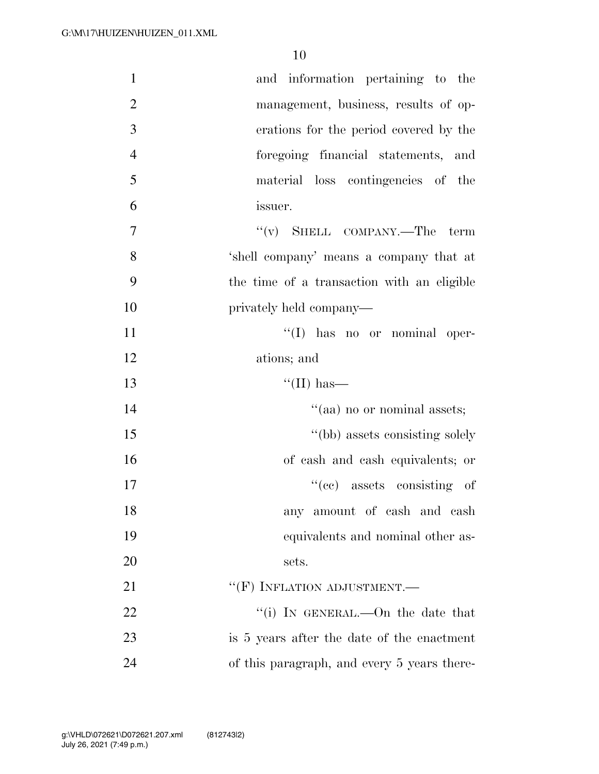| $\mathbf{1}$   | and information pertaining to the          |
|----------------|--------------------------------------------|
| $\overline{2}$ | management, business, results of op-       |
| 3              | erations for the period covered by the     |
| $\overline{4}$ | foregoing financial statements, and        |
| 5              | material loss contingencies of the         |
| 6              | issuer.                                    |
| $\overline{7}$ | $f'(v)$ SHELL COMPANY.—The term            |
| 8              | 'shell company' means a company that at    |
| 9              | the time of a transaction with an eligible |
| 10             | privately held company—                    |
| 11             | "(I) has no or nominal oper-               |
| 12             | ations; and                                |
|                |                                            |
| 13             | "(II) has—                                 |
| 14             | "(aa) no or nominal assets;                |
| 15             | "(bb) assets consisting solely             |
| 16             | of cash and cash equivalents; or           |
| 17             | $f'(ce)$ assets consisting of              |
| 18             | any amount of cash and cash                |
| 19             | equivalents and nominal other as-          |
| 20             | sets.                                      |
| 21             | $``(F)$ INFLATION ADJUSTMENT.—             |
| 22             | "(i) IN GENERAL.—On the date that          |
| 23             | is 5 years after the date of the enactment |